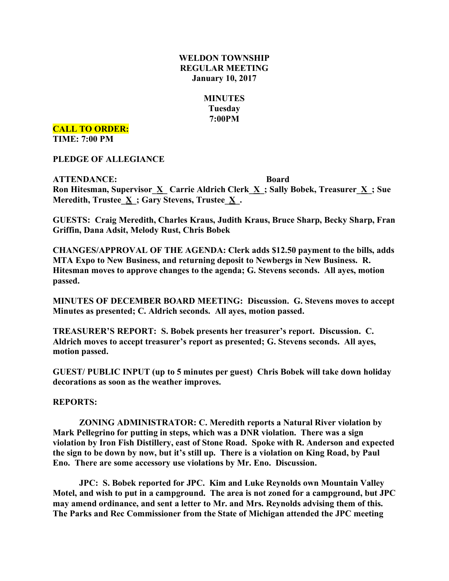## **WELDON TOWNSHIP REGULAR MEETING January 10, 2017**

# **MINUTES Tuesday**

# **7:00PM**

**CALL TO ORDER:**

**TIME: 7:00 PM**

**PLEDGE OF ALLEGIANCE**

**ATTENDANCE: Board Ron Hitesman, Supervisor**  $\underline{X}$  **<b>Carrie** Aldrich Clerk  $\underline{X}$ ; Sally Bobek, Treasurer  $\underline{X}$ ; Sue **Meredith, Trustee\_X\_; Gary Stevens, Trustee\_X\_.**

**GUESTS: Craig Meredith, Charles Kraus, Judith Kraus, Bruce Sharp, Becky Sharp, Fran Griffin, Dana Adsit, Melody Rust, Chris Bobek**

**CHANGES/APPROVAL OF THE AGENDA: Clerk adds \$12.50 payment to the bills, adds MTA Expo to New Business, and returning deposit to Newbergs in New Business. R. Hitesman moves to approve changes to the agenda; G. Stevens seconds. All ayes, motion passed.**

**MINUTES OF DECEMBER BOARD MEETING: Discussion. G. Stevens moves to accept Minutes as presented; C. Aldrich seconds. All ayes, motion passed.**

**TREASURER'S REPORT: S. Bobek presents her treasurer's report. Discussion. C. Aldrich moves to accept treasurer's report as presented; G. Stevens seconds. All ayes, motion passed.**

**GUEST/ PUBLIC INPUT (up to 5 minutes per guest) Chris Bobek will take down holiday decorations as soon as the weather improves.**

#### **REPORTS:**

**ZONING ADMINISTRATOR: C. Meredith reports a Natural River violation by Mark Pellegrino for putting in steps, which was a DNR violation. There was a sign violation by Iron Fish Distillery, east of Stone Road. Spoke with R. Anderson and expected the sign to be down by now, but it's still up. There is a violation on King Road, by Paul Eno. There are some accessory use violations by Mr. Eno. Discussion.**

**JPC: S. Bobek reported for JPC. Kim and Luke Reynolds own Mountain Valley Motel, and wish to put in a campground. The area is not zoned for a campground, but JPC may amend ordinance, and sent a letter to Mr. and Mrs. Reynolds advising them of this. The Parks and Rec Commissioner from the State of Michigan attended the JPC meeting**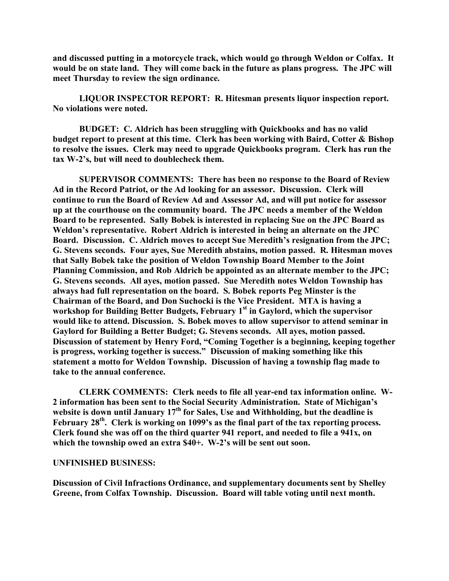**and discussed putting in a motorcycle track, which would go through Weldon or Colfax. It would be on state land. They will come back in the future as plans progress. The JPC will meet Thursday to review the sign ordinance.**

**LIQUOR INSPECTOR REPORT: R. Hitesman presents liquor inspection report. No violations were noted.**

**BUDGET: C. Aldrich has been struggling with Quickbooks and has no valid budget report to present at this time. Clerk has been working with Baird, Cotter & Bishop to resolve the issues. Clerk may need to upgrade Quickbooks program. Clerk has run the tax W-2's, but will need to doublecheck them.**

**SUPERVISOR COMMENTS: There has been no response to the Board of Review Ad in the Record Patriot, or the Ad looking for an assessor. Discussion. Clerk will continue to run the Board of Review Ad and Assessor Ad, and will put notice for assessor up at the courthouse on the community board. The JPC needs a member of the Weldon Board to be represented. Sally Bobek is interested in replacing Sue on the JPC Board as Weldon's representative. Robert Aldrich is interested in being an alternate on the JPC Board. Discussion. C. Aldrich moves to accept Sue Meredith's resignation from the JPC; G. Stevens seconds. Four ayes, Sue Meredith abstains, motion passed. R. Hitesman moves that Sally Bobek take the position of Weldon Township Board Member to the Joint Planning Commission, and Rob Aldrich be appointed as an alternate member to the JPC; G. Stevens seconds. All ayes, motion passed. Sue Meredith notes Weldon Township has always had full representation on the board. S. Bobek reports Peg Minster is the Chairman of the Board, and Don Suchocki is the Vice President. MTA is having a workshop for Building Better Budgets, February 1st in Gaylord, which the supervisor would like to attend. Discussion. S. Bobek moves to allow supervisor to attend seminar in Gaylord for Building a Better Budget; G. Stevens seconds. All ayes, motion passed. Discussion of statement by Henry Ford, "Coming Together is a beginning, keeping together is progress, working together is success." Discussion of making something like this statement a motto for Weldon Township. Discussion of having a township flag made to take to the annual conference.**

**CLERK COMMENTS: Clerk needs to file all year-end tax information online. W-2 information has been sent to the Social Security Administration. State of Michigan's website is down until January 17th for Sales, Use and Withholding, but the deadline is February 28th. Clerk is working on 1099's as the final part of the tax reporting process. Clerk found she was off on the third quarter 941 report, and needed to file a 941x, on which the township owed an extra \$40+. W-2's will be sent out soon.**

#### **UNFINISHED BUSINESS:**

**Discussion of Civil Infractions Ordinance, and supplementary documents sent by Shelley Greene, from Colfax Township. Discussion. Board will table voting until next month.**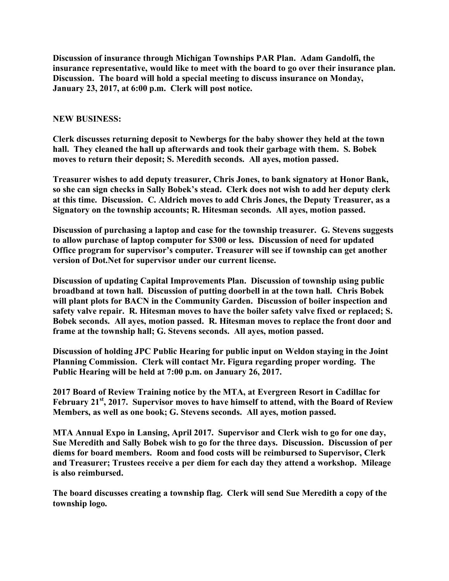**Discussion of insurance through Michigan Townships PAR Plan. Adam Gandolfi, the insurance representative, would like to meet with the board to go over their insurance plan. Discussion. The board will hold a special meeting to discuss insurance on Monday, January 23, 2017, at 6:00 p.m. Clerk will post notice.**

## **NEW BUSINESS:**

**Clerk discusses returning deposit to Newbergs for the baby shower they held at the town hall. They cleaned the hall up afterwards and took their garbage with them. S. Bobek moves to return their deposit; S. Meredith seconds. All ayes, motion passed.**

**Treasurer wishes to add deputy treasurer, Chris Jones, to bank signatory at Honor Bank, so she can sign checks in Sally Bobek's stead. Clerk does not wish to add her deputy clerk at this time. Discussion. C. Aldrich moves to add Chris Jones, the Deputy Treasurer, as a Signatory on the township accounts; R. Hitesman seconds. All ayes, motion passed.**

**Discussion of purchasing a laptop and case for the township treasurer. G. Stevens suggests to allow purchase of laptop computer for \$300 or less. Discussion of need for updated Office program for supervisor's computer. Treasurer will see if township can get another version of Dot.Net for supervisor under our current license.**

**Discussion of updating Capital Improvements Plan. Discussion of township using public broadband at town hall. Discussion of putting doorbell in at the town hall. Chris Bobek will plant plots for BACN in the Community Garden. Discussion of boiler inspection and safety valve repair. R. Hitesman moves to have the boiler safety valve fixed or replaced; S. Bobek seconds. All ayes, motion passed. R. Hitesman moves to replace the front door and frame at the township hall; G. Stevens seconds. All ayes, motion passed.**

**Discussion of holding JPC Public Hearing for public input on Weldon staying in the Joint Planning Commission. Clerk will contact Mr. Figura regarding proper wording. The Public Hearing will be held at 7:00 p.m. on January 26, 2017.**

**2017 Board of Review Training notice by the MTA, at Evergreen Resort in Cadillac for February 21st , 2017. Supervisor moves to have himself to attend, with the Board of Review Members, as well as one book; G. Stevens seconds. All ayes, motion passed.**

**MTA Annual Expo in Lansing, April 2017. Supervisor and Clerk wish to go for one day, Sue Meredith and Sally Bobek wish to go for the three days. Discussion. Discussion of per diems for board members. Room and food costs will be reimbursed to Supervisor, Clerk and Treasurer; Trustees receive a per diem for each day they attend a workshop. Mileage is also reimbursed.**

**The board discusses creating a township flag. Clerk will send Sue Meredith a copy of the township logo.**